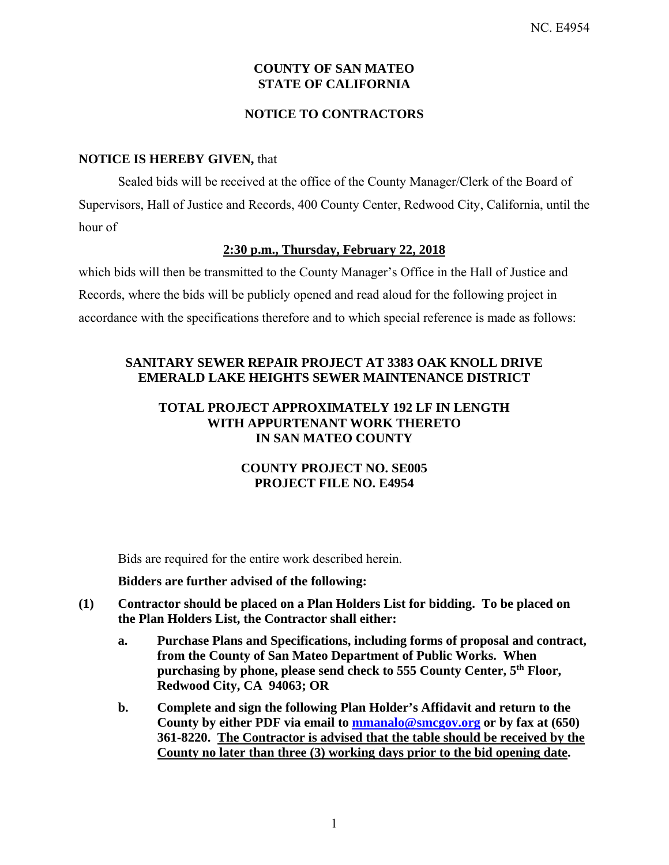# **COUNTY OF SAN MATEO STATE OF CALIFORNIA**

# **NOTICE TO CONTRACTORS**

# **NOTICE IS HEREBY GIVEN,** that

Sealed bids will be received at the office of the County Manager/Clerk of the Board of Supervisors, Hall of Justice and Records, 400 County Center, Redwood City, California, until the hour of

### **2:30 p.m., Thursday, February 22, 2018**

which bids will then be transmitted to the County Manager's Office in the Hall of Justice and Records, where the bids will be publicly opened and read aloud for the following project in accordance with the specifications therefore and to which special reference is made as follows:

# **SANITARY SEWER REPAIR PROJECT AT 3383 OAK KNOLL DRIVE EMERALD LAKE HEIGHTS SEWER MAINTENANCE DISTRICT**

# **TOTAL PROJECT APPROXIMATELY 192 LF IN LENGTH WITH APPURTENANT WORK THERETO IN SAN MATEO COUNTY**

# **COUNTY PROJECT NO. SE005 PROJECT FILE NO. E4954**

Bids are required for the entire work described herein.

#### **Bidders are further advised of the following:**

- **(1) Contractor should be placed on a Plan Holders List for bidding. To be placed on the Plan Holders List, the Contractor shall either:** 
	- **a. Purchase Plans and Specifications, including forms of proposal and contract, from the County of San Mateo Department of Public Works. When purchasing by phone, please send check to 555 County Center, 5th Floor, Redwood City, CA 94063; OR**
	- **b. Complete and sign the following Plan Holder's Affidavit and return to the County by either PDF via email to mmanalo@smcgov.org or by fax at (650) 361-8220. The Contractor is advised that the table should be received by the County no later than three (3) working days prior to the bid opening date.**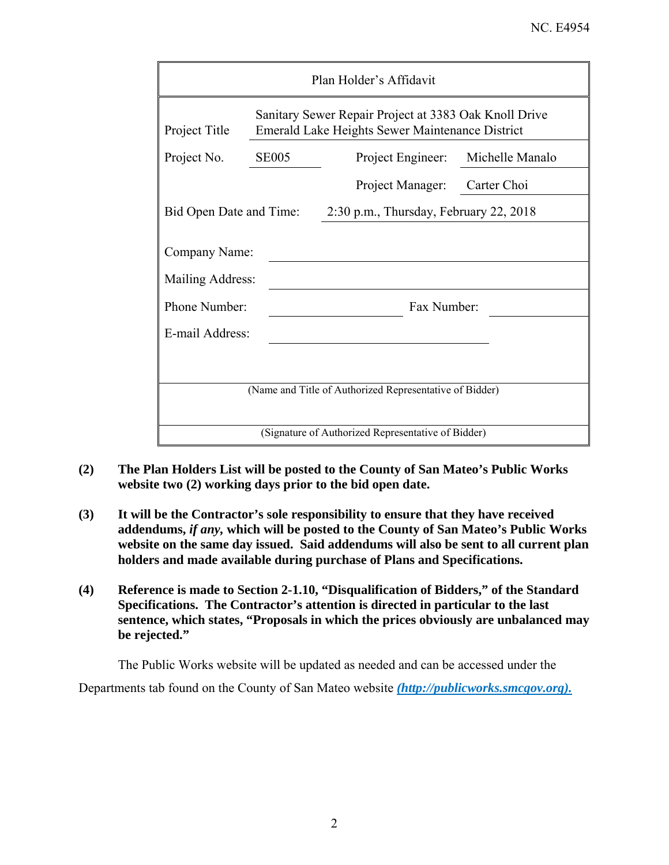| Plan Holder's Affidavit                                 |                                                                                                                 |                                        |                 |  |  |  |  |
|---------------------------------------------------------|-----------------------------------------------------------------------------------------------------------------|----------------------------------------|-----------------|--|--|--|--|
| Project Title                                           | Sanitary Sewer Repair Project at 3383 Oak Knoll Drive<br><b>Emerald Lake Heights Sewer Maintenance District</b> |                                        |                 |  |  |  |  |
| Project No.                                             | <b>SE005</b>                                                                                                    | Project Engineer:                      | Michelle Manalo |  |  |  |  |
|                                                         |                                                                                                                 | Project Manager:                       | Carter Choi     |  |  |  |  |
| Bid Open Date and Time:                                 |                                                                                                                 | 2:30 p.m., Thursday, February 22, 2018 |                 |  |  |  |  |
| Company Name:<br>Mailing Address:                       |                                                                                                                 |                                        |                 |  |  |  |  |
| Phone Number:                                           |                                                                                                                 | Fax Number:                            |                 |  |  |  |  |
| E-mail Address:                                         |                                                                                                                 |                                        |                 |  |  |  |  |
|                                                         |                                                                                                                 |                                        |                 |  |  |  |  |
| (Name and Title of Authorized Representative of Bidder) |                                                                                                                 |                                        |                 |  |  |  |  |
| (Signature of Authorized Representative of Bidder)      |                                                                                                                 |                                        |                 |  |  |  |  |

- **(2) The Plan Holders List will be posted to the County of San Mateo's Public Works website two (2) working days prior to the bid open date.**
- **(3) It will be the Contractor's sole responsibility to ensure that they have received addendums,** *if any,* **which will be posted to the County of San Mateo's Public Works website on the same day issued. Said addendums will also be sent to all current plan holders and made available during purchase of Plans and Specifications.**
- **(4) Reference is made to Section 2-1.10, "Disqualification of Bidders," of the Standard Specifications. The Contractor's attention is directed in particular to the last sentence, which states, "Proposals in which the prices obviously are unbalanced may be rejected."**

The Public Works website will be updated as needed and can be accessed under the

Departments tab found on the County of San Mateo website *(http://publicworks.smcgov.org).*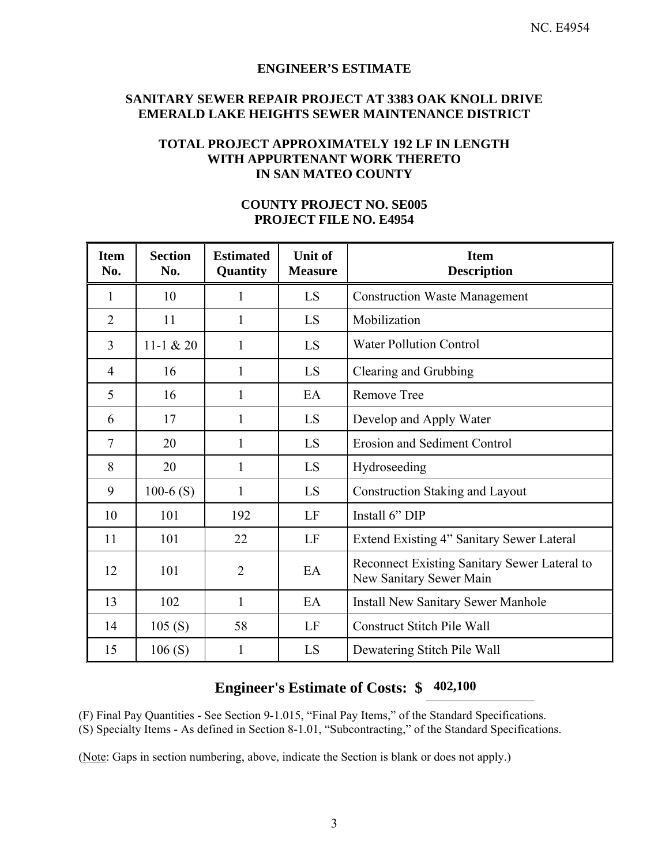### **ENGINEER'S ESTIMATE**

# **SANITARY SEWER REPAIR PROJECT AT 3383 OAK KNOLL DRIVE EMERALD LAKE HEIGHTS SEWER MAINTENANCE DISTRICT**

# **TOTAL PROJECT APPROXIMATELY 192 LF IN LENGTH WITH APPURTENANT WORK THERETO IN SAN MATEO COUNTY**

| <b>Item</b><br>No. | <b>Section</b><br>No. | <b>Estimated</b><br>Quantity | <b>Unit of</b><br><b>Measure</b> | <b>Item</b><br><b>Description</b>                                       |  |
|--------------------|-----------------------|------------------------------|----------------------------------|-------------------------------------------------------------------------|--|
| 1                  | 10                    | 1                            | LS                               | <b>Construction Waste Management</b>                                    |  |
| $\overline{2}$     | 11                    | 1                            | LS                               | Mobilization                                                            |  |
| 3                  | 11-1 $& 20$           | $\mathbf{1}$                 | LS                               | <b>Water Pollution Control</b>                                          |  |
| 4                  | 16                    | 1                            | LS                               | Clearing and Grubbing                                                   |  |
| 5                  | 16                    | 1                            | EA                               | <b>Remove Tree</b>                                                      |  |
| 6                  | 17                    | 1                            | LS                               | Develop and Apply Water                                                 |  |
| $\tau$             | 20                    | 1                            | LS                               | <b>Erosion and Sediment Control</b>                                     |  |
| 8                  | 20                    | 1                            | LS                               | Hydroseeding                                                            |  |
| 9                  | $100-6$ (S)           | $\mathbf{1}$                 | LS                               | <b>Construction Staking and Layout</b>                                  |  |
| 10                 | 101                   | 192                          | LF                               | Install 6" DIP                                                          |  |
| 11                 | 101                   | 22                           | LF                               | Extend Existing 4" Sanitary Sewer Lateral                               |  |
| 12                 | 101                   | $\overline{2}$               | EA                               | Reconnect Existing Sanitary Sewer Lateral to<br>New Sanitary Sewer Main |  |
| 13                 | 102                   | $\mathbf{1}$                 | EA                               | <b>Install New Sanitary Sewer Manhole</b>                               |  |
| 14                 | 105(S)                | 58                           | LF                               | <b>Construct Stitch Pile Wall</b>                                       |  |
| 15                 | 106(S)                | $\mathbf{1}$                 | LS                               | Dewatering Stitch Pile Wall                                             |  |

### **COUNTY PROJECT NO. SE005 PROJECT FILE NO. E4954**

# **Engineer's Estimate of Costs: \$ 402,100**

(F) Final Pay Quantities - See Section 9-1.015, "Final Pay Items," of the Standard Specifications. (S) Specialty Items - As defined in Section 8-1.01, "Subcontracting," of the Standard Specifications.

(Note: Gaps in section numbering, above, indicate the Section is blank or does not apply.)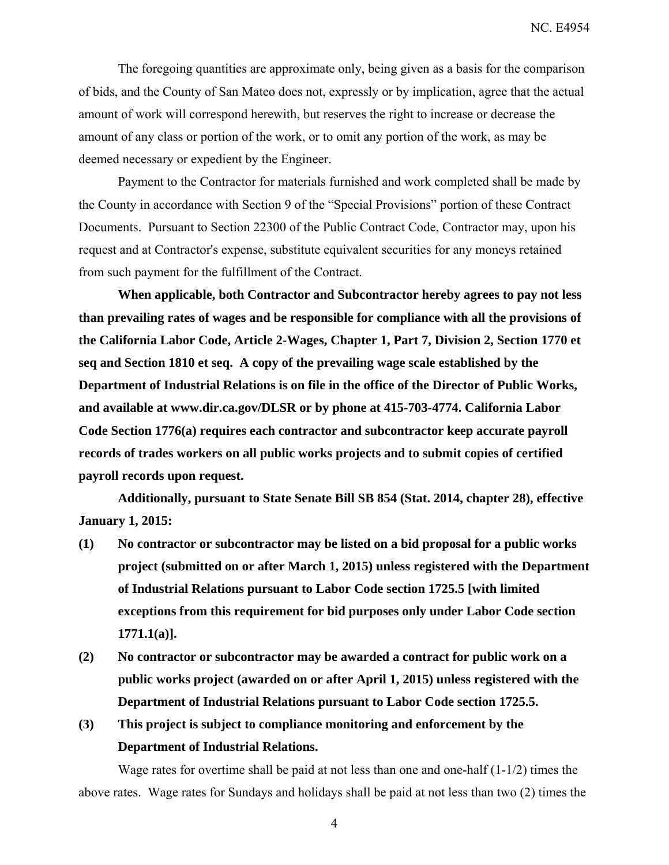The foregoing quantities are approximate only, being given as a basis for the comparison of bids, and the County of San Mateo does not, expressly or by implication, agree that the actual amount of work will correspond herewith, but reserves the right to increase or decrease the amount of any class or portion of the work, or to omit any portion of the work, as may be deemed necessary or expedient by the Engineer.

Payment to the Contractor for materials furnished and work completed shall be made by the County in accordance with Section 9 of the "Special Provisions" portion of these Contract Documents. Pursuant to Section 22300 of the Public Contract Code, Contractor may, upon his request and at Contractor's expense, substitute equivalent securities for any moneys retained from such payment for the fulfillment of the Contract.

**When applicable, both Contractor and Subcontractor hereby agrees to pay not less than prevailing rates of wages and be responsible for compliance with all the provisions of the California Labor Code, Article 2-Wages, Chapter 1, Part 7, Division 2, Section 1770 et seq and Section 1810 et seq. A copy of the prevailing wage scale established by the Department of Industrial Relations is on file in the office of the Director of Public Works, and available at www.dir.ca.gov/DLSR or by phone at 415-703-4774. California Labor Code Section 1776(a) requires each contractor and subcontractor keep accurate payroll records of trades workers on all public works projects and to submit copies of certified payroll records upon request.** 

**Additionally, pursuant to State Senate Bill SB 854 (Stat. 2014, chapter 28), effective January 1, 2015:** 

- **(1) No contractor or subcontractor may be listed on a bid proposal for a public works project (submitted on or after March 1, 2015) unless registered with the Department of Industrial Relations pursuant to Labor Code section 1725.5 [with limited exceptions from this requirement for bid purposes only under Labor Code section 1771.1(a)].**
- **(2) No contractor or subcontractor may be awarded a contract for public work on a public works project (awarded on or after April 1, 2015) unless registered with the Department of Industrial Relations pursuant to Labor Code section 1725.5.**
- **(3) This project is subject to compliance monitoring and enforcement by the Department of Industrial Relations.**

Wage rates for overtime shall be paid at not less than one and one-half (1-1/2) times the above rates. Wage rates for Sundays and holidays shall be paid at not less than two (2) times the

4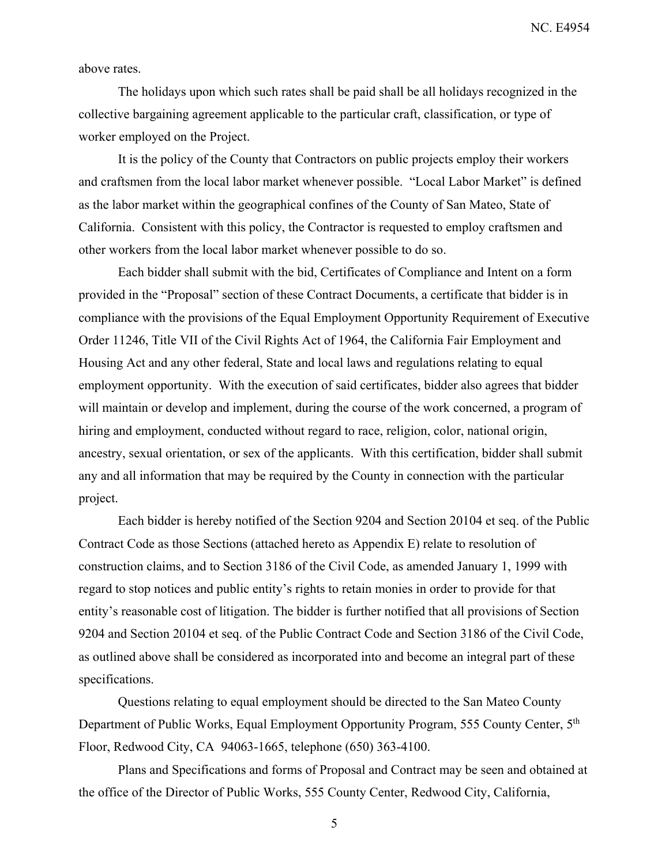above rates.

The holidays upon which such rates shall be paid shall be all holidays recognized in the collective bargaining agreement applicable to the particular craft, classification, or type of worker employed on the Project.

It is the policy of the County that Contractors on public projects employ their workers and craftsmen from the local labor market whenever possible. "Local Labor Market" is defined as the labor market within the geographical confines of the County of San Mateo, State of California. Consistent with this policy, the Contractor is requested to employ craftsmen and other workers from the local labor market whenever possible to do so.

Each bidder shall submit with the bid, Certificates of Compliance and Intent on a form provided in the "Proposal" section of these Contract Documents, a certificate that bidder is in compliance with the provisions of the Equal Employment Opportunity Requirement of Executive Order 11246, Title VII of the Civil Rights Act of 1964, the California Fair Employment and Housing Act and any other federal, State and local laws and regulations relating to equal employment opportunity. With the execution of said certificates, bidder also agrees that bidder will maintain or develop and implement, during the course of the work concerned, a program of hiring and employment, conducted without regard to race, religion, color, national origin, ancestry, sexual orientation, or sex of the applicants. With this certification, bidder shall submit any and all information that may be required by the County in connection with the particular project.

Each bidder is hereby notified of the Section 9204 and Section 20104 et seq. of the Public Contract Code as those Sections (attached hereto as Appendix E) relate to resolution of construction claims, and to Section 3186 of the Civil Code, as amended January 1, 1999 with regard to stop notices and public entity's rights to retain monies in order to provide for that entity's reasonable cost of litigation. The bidder is further notified that all provisions of Section 9204 and Section 20104 et seq. of the Public Contract Code and Section 3186 of the Civil Code, as outlined above shall be considered as incorporated into and become an integral part of these specifications.

Questions relating to equal employment should be directed to the San Mateo County Department of Public Works, Equal Employment Opportunity Program, 555 County Center, 5th Floor, Redwood City, CA 94063-1665, telephone (650) 363-4100.

Plans and Specifications and forms of Proposal and Contract may be seen and obtained at the office of the Director of Public Works, 555 County Center, Redwood City, California,

5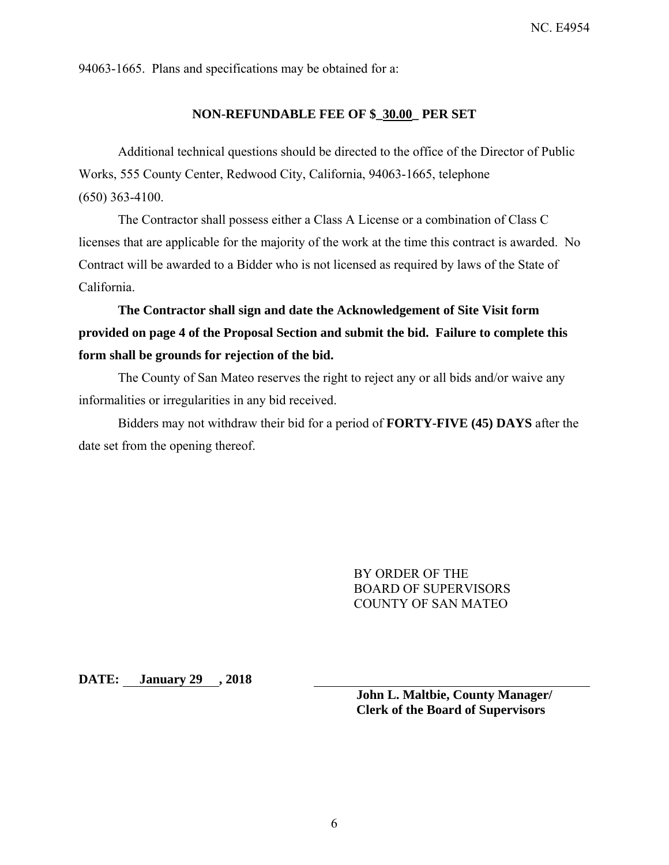94063-1665. Plans and specifications may be obtained for a:

### **NON-REFUNDABLE FEE OF \$\_30.00\_ PER SET**

Additional technical questions should be directed to the office of the Director of Public Works, 555 County Center, Redwood City, California, 94063-1665, telephone (650) 363-4100.

The Contractor shall possess either a Class A License or a combination of Class C licenses that are applicable for the majority of the work at the time this contract is awarded. No Contract will be awarded to a Bidder who is not licensed as required by laws of the State of California.

**The Contractor shall sign and date the Acknowledgement of Site Visit form provided on page 4 of the Proposal Section and submit the bid. Failure to complete this form shall be grounds for rejection of the bid.** 

The County of San Mateo reserves the right to reject any or all bids and/or waive any informalities or irregularities in any bid received.

Bidders may not withdraw their bid for a period of **FORTY-FIVE (45) DAYS** after the date set from the opening thereof.

> BY ORDER OF THE BOARD OF SUPERVISORS COUNTY OF SAN MATEO

**DATE: January 29 , 2018** 

**John L. Maltbie, County Manager/ Clerk of the Board of Supervisors**